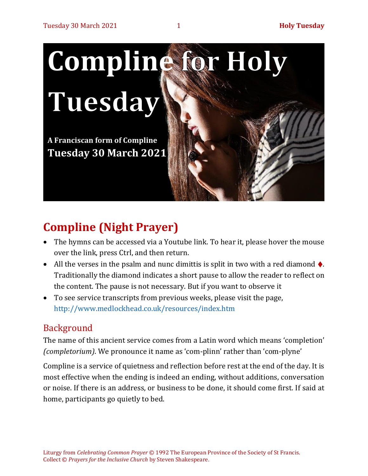

# **Compline (Night Prayer)**

- The hymns can be accessed via a Youtube link. To hear it, please hover the mouse over the link, press Ctrl, and then return.
- All the verses in the psalm and nunc dimittis is split in two with a red diamond  $\blacklozenge$ . Traditionally the diamond indicates a short pause to allow the reader to reflect on the content. The pause is not necessary. But if you want to observe it
- To see service transcripts from previous weeks, please visit the page, <http://www.medlockhead.co.uk/resources/index.htm>

# Background

The name of this ancient service comes from a Latin word which means 'completion' *(completorium)*. We pronounce it name as 'com-plinn' rather than 'com-plyne'

Compline is a service of quietness and reflection before rest at the end of the day. It is most effective when the ending is indeed an ending, without additions, conversation or noise. If there is an address, or business to be done, it should come first. If said at home, participants go quietly to bed.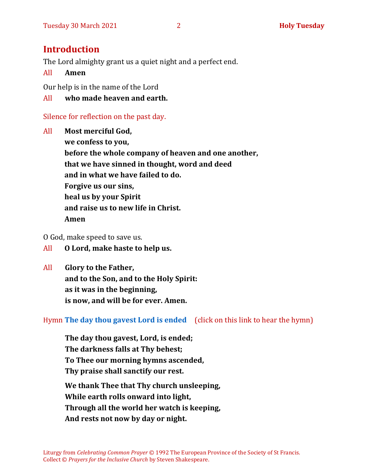### **Introduction**

The Lord almighty grant us a quiet night and a perfect end.

#### All **Amen**

Our help is in the name of the Lord

#### All **who made heaven and earth.**

#### Silence for reflection on the past day.

All **Most merciful God, we confess to you, before the whole company of heaven and one another, that we have sinned in thought, word and deed and in what we have failed to do. Forgive us our sins, heal us by your Spirit and raise us to new life in Christ. Amen**

O God, make speed to save us.

- All **O Lord, make haste to help us.**
- All **Glory to the Father, and to the Son, and to the Holy Spirit: as it was in the beginning, is now, and will be for ever. Amen.**

Hymn **[The day thou gavest Lord is ended](https://www.youtube.com/watch?v=eeC6M_RD3oE)** (click on this link to hear the hymn)

**The day thou gavest, Lord, is ended; The darkness falls at Thy behest; To Thee our morning hymns ascended, Thy praise shall sanctify our rest.**

**We thank Thee that Thy church unsleeping, While earth rolls onward into light, Through all the world her watch is keeping, And rests not now by day or night.**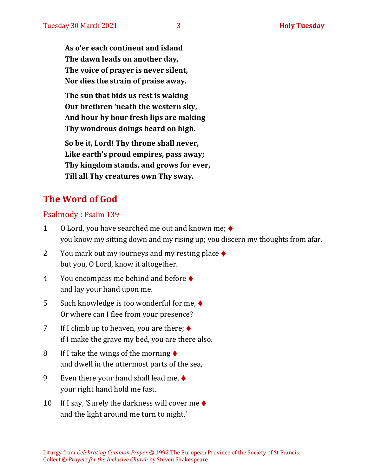**As o'er each continent and island The dawn leads on another day, The voice of prayer is never silent, Nor dies the strain of praise away.**

**The sun that bids us rest is waking Our brethren 'neath the western sky, And hour by hour fresh lips are making Thy wondrous doings heard on high.**

**So be it, Lord! Thy throne shall never, Like earth's proud empires, pass away; Thy kingdom stands, and grows for ever, Till all Thy creatures own Thy sway.**

# **The Word of God**

#### Psalmody : Psalm 139

- 1 O Lord, you have searched me out and known me; ♦ you know my sitting down and my rising up; you discern my thoughts from afar.
- 2 You mark out my journeys and my resting place  $\blacklozenge$ but you, O Lord, know it altogether.
- 4 You encompass me behind and before ♦ and lay your hand upon me.
- 5 Such knowledge is too wonderful for me, ♦ Or where can I flee from your presence?
- 7 If I climb up to heaven, you are there;  $\blacklozenge$ if I make the grave my bed, you are there also.
- 8 If I take the wings of the morning  $\blacklozenge$ and dwell in the uttermost parts of the sea,
- 9 Even there your hand shall lead me,  $\blacklozenge$ your right hand hold me fast.
- 10 If I say, 'Surely the darkness will cover me  $\triangleleft$ and the light around me turn to night,'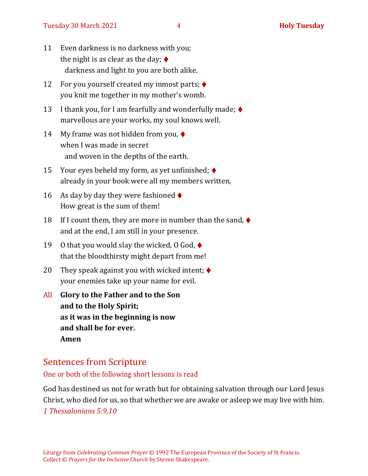- 11 Even darkness is no darkness with you; the night is as clear as the day;  $\blacklozenge$ darkness and light to you are both alike.
- 12 For you yourself created my inmost parts; ♦ you knit me together in my mother's womb.
- 13 I thank you, for I am fearfully and wonderfully made;  $\blacklozenge$ marvellous are your works, my soul knows well.
- 14 My frame was not hidden from you,  $\blacklozenge$ when I was made in secret and woven in the depths of the earth.
- 15 Your eyes beheld my form, as yet unfinished;  $\blacklozenge$ already in your book were all my members written,
- 16 As day by day they were fashioned  $\blacklozenge$ How great is the sum of them!
- 18 If I count them, they are more in number than the sand,  $\blacklozenge$ and at the end, I am still in your presence.
- 19 O that you would slay the wicked, 0 God,  $\blacklozenge$ that the bloodthirsty might depart from me!
- 20 They speak against you with wicked intent;  $\blacklozenge$ your enemies take up your name for evil.
- All **Glory to the Father and to the Son and to the Holy Spirit; as it was in the beginning is now and shall be for ever. Amen**

# Sentences from Scripture

One or both of the following short lessons is read

God has destined us not for wrath but for obtaining salvation through our Lord Jesus Christ, who died for us, so that whether we are awake or asleep we may live with him. *1 Thessalonians 5:9,10*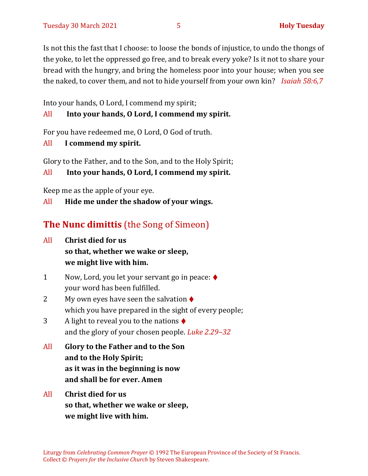Is not this the fast that I choose: to loose the bonds of injustice, to undo the thongs of the yoke, to let the oppressed go free, and to break every yoke? Is it not to share your bread with the hungry, and bring the homeless poor into your house; when you see the naked, to cover them, and not to hide yourself from your own kin? *Isaiah 58:6,7*

Into your hands, O Lord, I commend my spirit;

#### All **Into your hands, O Lord, I commend my spirit.**

For you have redeemed me, O Lord, O God of truth.

All **I commend my spirit.**

Glory to the Father, and to the Son, and to the Holy Spirit;

All **Into your hands, O Lord, I commend my spirit.**

Keep me as the apple of your eye.

All **Hide me under the shadow of your wings.**

# **The Nunc dimittis** (the Song of Simeon)

- All **Christ died for us so that, whether we wake or sleep, we might live with him.**
- 1 Now, Lord, you let your servant go in peace: ♦ your word has been fulfilled.
- 2 My own eyes have seen the salvation  $\triangle$ which you have prepared in the sight of every people;
- 3 A light to reveal you to the nations  $\blacklozenge$ and the glory of your chosen people. *Luke 2.29–32*
- All **Glory to the Father and to the Son and to the Holy Spirit; as it was in the beginning is now and shall be for ever. Amen**
- All **Christ died for us so that, whether we wake or sleep, we might live with him.**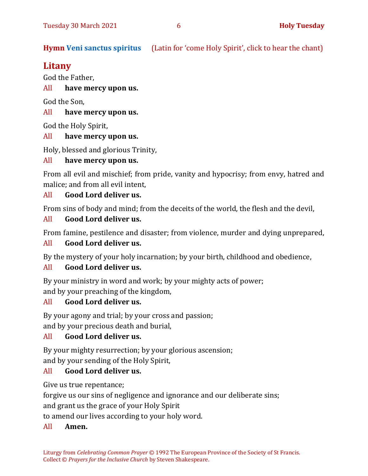**Hymn [Veni sanctus spiritus](https://www.youtube.com/watch?v=Z1fR4SV55qg)** (Latin for 'come Holy Spirit', click to hear the chant)

## **Litany**

God the Father,

All **have mercy upon us.**

God the Son,

#### All **have mercy upon us.**

God the Holy Spirit,

#### All **have mercy upon us.**

Holy, blessed and glorious Trinity,

#### All **have mercy upon us.**

From all evil and mischief; from pride, vanity and hypocrisy; from envy, hatred and malice; and from all evil intent,

#### All **Good Lord deliver us.**

From sins of body and mind; from the deceits of the world, the flesh and the devil,

#### All **Good Lord deliver us.**

From famine, pestilence and disaster; from violence, murder and dying unprepared,

#### All **Good Lord deliver us.**

By the mystery of your holy incarnation; by your birth, childhood and obedience,

#### All **Good Lord deliver us.**

By your ministry in word and work; by your mighty acts of power; and by your preaching of the kingdom,

#### All **Good Lord deliver us.**

By your agony and trial; by your cross and passion;

and by your precious death and burial,

#### All **Good Lord deliver us.**

By your mighty resurrection; by your glorious ascension; and by your sending of the Holy Spirit,

#### All **Good Lord deliver us.**

Give us true repentance;

forgive us our sins of negligence and ignorance and our deliberate sins;

and grant us the grace of your Holy Spirit

to amend our lives according to your holy word.

#### All **Amen.**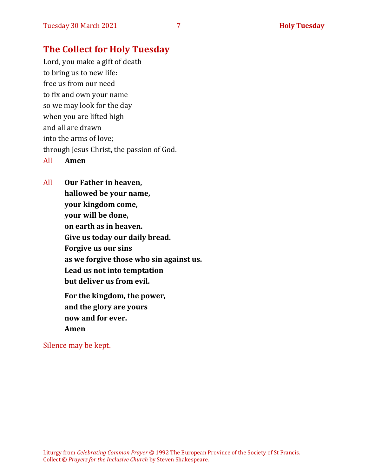### **The Collect for Holy Tuesday**

Lord, you make a gift of death to bring us to new life: free us from our need to fix and own your name so we may look for the day when you are lifted high and all are drawn into the arms of love; through Jesus Christ, the passion of God. All **Amen**

All **Our Father in heaven, hallowed be your name, your kingdom come, your will be done, on earth as in heaven. Give us today our daily bread. Forgive us our sins as we forgive those who sin against us. Lead us not into temptation but deliver us from evil. For the kingdom, the power,** 

**and the glory are yours now and for ever. Amen**

Silence may be kept.